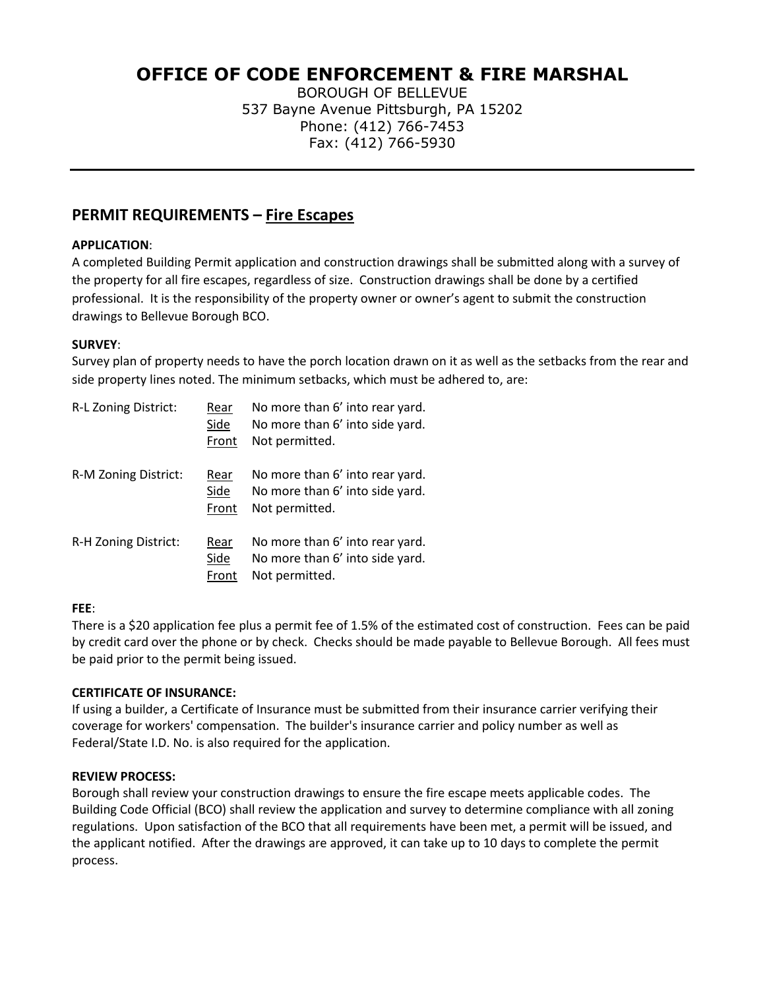# **OFFICE OF CODE ENFORCEMENT & FIRE MARSHAL**

BOROUGH OF BELLEVUE 537 Bayne Avenue Pittsburgh, PA 15202 Phone: (412) 766-7453 Fax: (412) 766-5930

## **PERMIT REQUIREMENTS – Fire Escapes**

### **APPLICATION**:

A completed Building Permit application and construction drawings shall be submitted along with a survey of the property for all fire escapes, regardless of size. Construction drawings shall be done by a certified professional. It is the responsibility of the property owner or owner's agent to submit the construction drawings to Bellevue Borough BCO.

### **SURVEY**:

Survey plan of property needs to have the porch location drawn on it as well as the setbacks from the rear and side property lines noted. The minimum setbacks, which must be adhered to, are:

| R-L Zoning District: | Rear<br>Side<br>Front | No more than 6' into rear yard.<br>No more than 6' into side yard.<br>Not permitted. |
|----------------------|-----------------------|--------------------------------------------------------------------------------------|
| R-M Zoning District: | Rear<br>Side<br>Front | No more than 6' into rear yard.<br>No more than 6' into side yard.<br>Not permitted. |
| R-H Zoning District: | Rear<br>Side<br>Front | No more than 6' into rear yard.<br>No more than 6' into side yard.<br>Not permitted. |

#### **FEE**:

There is a \$20 application fee plus a permit fee of 1.5% of the estimated cost of construction. Fees can be paid by credit card over the phone or by check. Checks should be made payable to Bellevue Borough. All fees must be paid prior to the permit being issued.

#### **CERTIFICATE OF INSURANCE:**

If using a builder, a Certificate of Insurance must be submitted from their insurance carrier verifying their coverage for workers' compensation. The builder's insurance carrier and policy number as well as Federal/State I.D. No. is also required for the application.

#### **REVIEW PROCESS:**

Borough shall review your construction drawings to ensure the fire escape meets applicable codes. The Building Code Official (BCO) shall review the application and survey to determine compliance with all zoning regulations. Upon satisfaction of the BCO that all requirements have been met, a permit will be issued, and the applicant notified. After the drawings are approved, it can take up to 10 days to complete the permit process.